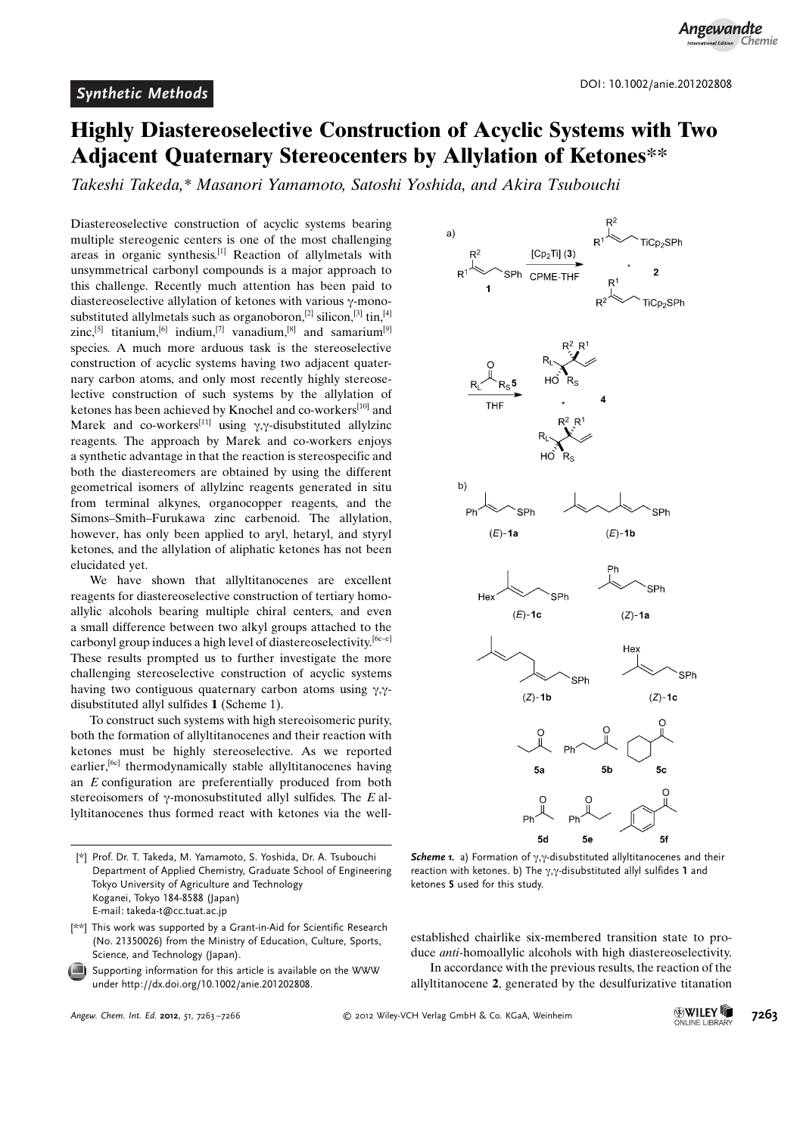## Highly Diastereoselective Construction of Acyclic Systems with Two Adjacent Quaternary Stereocenters by Allylation of Ketones\*\*

Takeshi Takeda,\* Masanori Yamamoto, Satoshi Yoshida, and Akira Tsubouchi

Diastereoselective construction of acyclic systems bearing multiple stereogenic centers is one of the most challenging areas in organic synthesis.[1] Reaction of allylmetals with unsymmetrical carbonyl compounds is a major approach to this challenge. Recently much attention has been paid to diastereoselective allylation of ketones with various  $\gamma$ -monosubstituted allylmetals such as organoboron,<sup>[2]</sup> silicon,<sup>[3]</sup> tin,<sup>[4]</sup> zinc,<sup>[5]</sup> titanium,<sup>[6]</sup> indium,<sup>[7]</sup> vanadium,<sup>[8]</sup> and samarium<sup>[9]</sup> species. A much more arduous task is the stereoselective construction of acyclic systems having two adjacent quaternary carbon atoms, and only most recently highly stereoselective construction of such systems by the allylation of ketones has been achieved by Knochel and co-workers<sup>[10]</sup> and Marek and co-workers<sup>[11]</sup> using  $\gamma$ , $\gamma$ -disubstituted allylzinc reagents. The approach by Marek and co-workers enjoys a synthetic advantage in that the reaction is stereospecific and both the diastereomers are obtained by using the different geometrical isomers of allylzinc reagents generated in situ from terminal alkynes, organocopper reagents, and the Simons–Smith–Furukawa zinc carbenoid. The allylation, however, has only been applied to aryl, hetaryl, and styryl ketones, and the allylation of aliphatic ketones has not been elucidated yet.

We have shown that allyltitanocenes are excellent reagents for diastereoselective construction of tertiary homoallylic alcohols bearing multiple chiral centers, and even a small difference between two alkyl groups attached to the carbonyl group induces a high level of diastereoselectivity.  $[6c-e]$ These results prompted us to further investigate the more challenging stereoselective construction of acyclic systems having two contiguous quaternary carbon atoms using  $\gamma$ . disubstituted allyl sulfides 1 (Scheme 1).

To construct such systems with high stereoisomeric purity, both the formation of allyltitanocenes and their reaction with ketones must be highly stereoselective. As we reported earlier,<sup>[6c]</sup> thermodynamically stable allyltitanocenes having an E configuration are preferentially produced from both stereoisomers of  $\gamma$ -monosubstituted allyl sulfides. The E allyltitanocenes thus formed react with ketones via the well-



Scheme 1. a) Formation of  $\gamma, \gamma$ -disubstituted allyltitanocenes and their reaction with ketones. b) The  $\gamma$ , $\gamma$ -disubstituted allyl sulfides 1 and ketones 5 used for this study.

established chairlike six-membered transition state to produce anti-homoallylic alcohols with high diastereoselectivity.

In accordance with the previous results, the reaction of the allyltitanocene 2, generated by the desulfurizative titanation

<sup>[\*]</sup> Prof. Dr. T. Takeda, M. Yamamoto, S. Yoshida, Dr. A. Tsubouchi Department of Applied Chemistry, Graduate School of Engineering Tokyo University of Agriculture and Technology Koganei, Tokyo 184-8588 (Japan) E-mail: takeda-t@cc.tuat.ac.jp

<sup>[\*\*]</sup> This work was supported by a Grant-in-Aid for Scientific Research (No. 21350026) from the Ministry of Education, Culture, Sports, Science, and Technology (Japan).

Supporting information for this article is available on the WWW under<http://dx.doi.org/10.1002/anie.201202808>.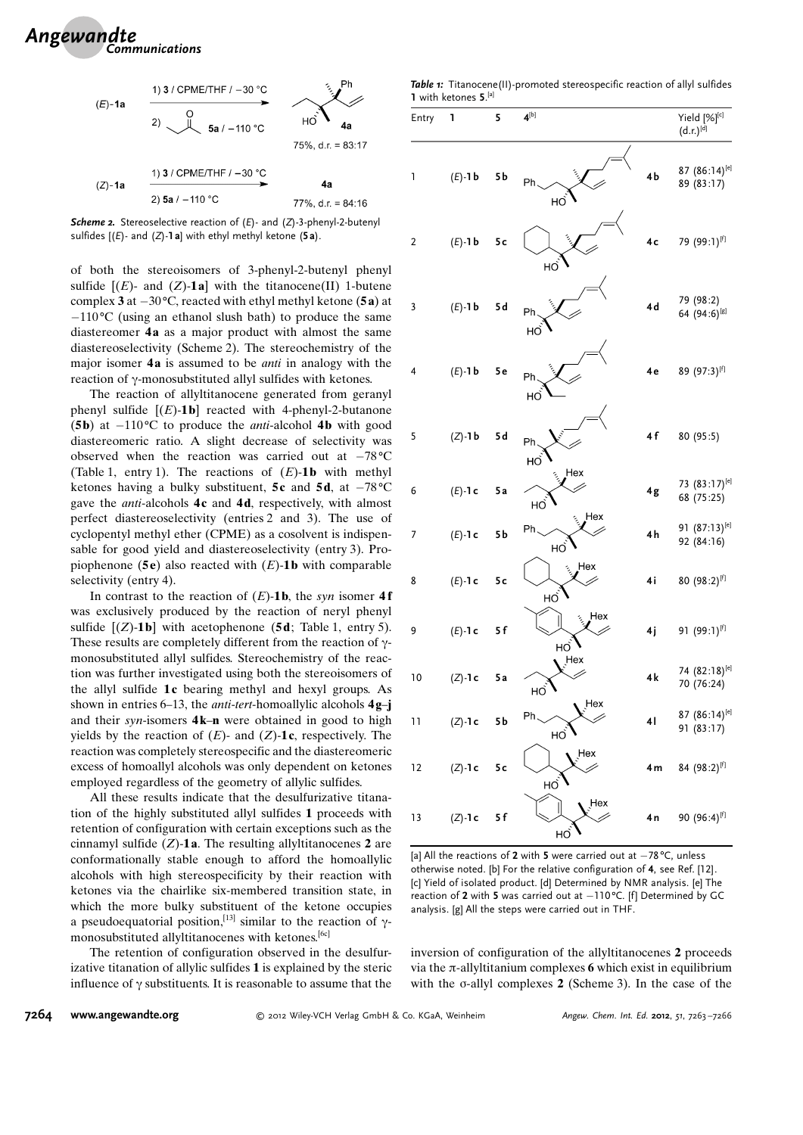

Scheme 2. Stereoselective reaction of (E)- and (Z)-3-phenyl-2-butenyl sulfides  $[(E)$ - and  $(Z)$ -1 a] with ethyl methyl ketone (5a).

of both the stereoisomers of 3-phenyl-2-butenyl phenyl sulfide  $[(E)$ - and  $(Z)$ -1a] with the titanocene(II) 1-butene complex **3** at  $-30^{\circ}$ C, reacted with ethyl methyl ketone (**5a**) at  $-110\text{°C}$  (using an ethanol slush bath) to produce the same diastereomer 4a as a major product with almost the same diastereoselectivity (Scheme 2). The stereochemistry of the major isomer 4a is assumed to be *anti* in analogy with the reaction of  $\gamma$ -monosubstituted allyl sulfides with ketones.

The reaction of allyltitanocene generated from geranyl phenyl sulfide  $[(E)-1**b**]$  reacted with 4-phenyl-2-butanone (5b) at  $-110^{\circ}$ C to produce the *anti*-alcohol 4b with good diastereomeric ratio. A slight decrease of selectivity was observed when the reaction was carried out at  $-78^{\circ}$ C (Table 1, entry 1). The reactions of  $(E)$ -1b with methyl ketones having a bulky substituent,  $5c$  and  $5d$ , at  $-78^{\circ}$ C gave the *anti*-alcohols  $4c$  and  $4d$ , respectively, with almost perfect diastereoselectivity (entries 2 and 3). The use of cyclopentyl methyl ether (CPME) as a cosolvent is indispensable for good yield and diastereoselectivity (entry 3). Propiophenone (5 $e$ ) also reacted with (E)-1 $b$  with comparable selectivity (entry 4).

In contrast to the reaction of  $(E)$ -1b, the syn isomer 4f was exclusively produced by the reaction of neryl phenyl sulfide  $[(Z)-1\mathbf{b}]$  with acetophenone (5d; Table 1, entry 5). These results are completely different from the reaction of  $\gamma$ monosubstituted allyl sulfides. Stereochemistry of the reaction was further investigated using both the stereoisomers of the allyl sulfide  $1c$  bearing methyl and hexyl groups. As shown in entries 6–13, the *anti-tert*-homoallylic alcohols  $4g$ –j and their syn-isomers  $4k-n$  were obtained in good to high yields by the reaction of  $(E)$ - and  $(Z)$ -1c, respectively. The reaction was completely stereospecific and the diastereomeric excess of homoallyl alcohols was only dependent on ketones employed regardless of the geometry of allylic sulfides.

All these results indicate that the desulfurizative titanation of the highly substituted allyl sulfides 1 proceeds with retention of configuration with certain exceptions such as the cinnamyl sulfide  $(Z)$ -1a. The resulting allyltitanocenes 2 are conformationally stable enough to afford the homoallylic alcohols with high stereospecificity by their reaction with ketones via the chairlike six-membered transition state, in which the more bulky substituent of the ketone occupies a pseudoequatorial position,<sup>[13]</sup> similar to the reaction of  $\gamma$ monosubstituted allyltitanocenes with ketones.[6c]

The retention of configuration observed in the desulfurizative titanation of allylic sulfides 1 is explained by the steric influence of  $\gamma$  substituents. It is reasonable to assume that the

Table 1: Titanocene(II)-promoted stereospecific reaction of allyl sulfides 1 with ketones 5.<sup>[a]</sup>

| Entry                   | 1           | 5              | $4^{[b]}$                         | Yield [%] <sup>[c]</sup><br>$(d.r.)^{[d]}$ |
|-------------------------|-------------|----------------|-----------------------------------|--------------------------------------------|
| 1                       | $(E)$ -1b   | 5b             | 4b<br>Ph<br>HÒ                    | 87 (86:14) <sup>[e]</sup><br>89 (83:17)    |
| $\overline{\mathbf{c}}$ | $(E)$ -1b   | 5c             | 4c<br>HÒ                          | 79 (99:1)[f]                               |
| 3                       | $(E)$ -1b   | 5d             | 4d<br>Ph<br>НÒ                    | 79 (98:2)<br>64 (94:6) <sup>[g]</sup>      |
| 4                       | $(E) - 1 b$ | <b>5e</b>      | 4 e<br>Ph<br>HÒ                   | 89 (97:3)[f]                               |
| 5                       | $(Z) - 1 b$ | 5 d            | 4f<br>Ph<br>HÒ                    | 80 (95:5)                                  |
| 6                       | $(E) - 1c$  | 5a             | Hex<br>4g<br>НÒ                   | 73 (83:17) <sup>[e]</sup><br>68 (75:25)    |
| 7                       | $(E)$ -1 c  | 5 <sub>b</sub> | Hex<br>Ph<br>4h<br>HÒ             | 91 (87:13) <sup>[e]</sup><br>92 (84:16)    |
| 8                       | $(E)$ -1 c  | 5c             | Hex<br>4i<br>HO                   | 80 (98:2)[f]                               |
| 9                       | $(E) - 1c$  | 5f             | Hex<br>4j<br>HO                   | 91 (99:1)[f]                               |
| 10                      | $(Z)$ -1 c  | 5a             | Hex<br>4k<br>HO                   | 74 (82:18) <sup>[e]</sup><br>70 (76:24)    |
| 11                      | $(Z)$ -1 c  | 5 b            | Hex<br>Ph<br>$\overline{4}$<br>HÒ | 87 (86:14) <sup>[e]</sup><br>91 (83:17)    |
| 12                      | $(Z)$ -1 c  | 5c             | Hex<br>4 <sub>m</sub><br>HO       | 84 (98:2)[f]                               |
| 13                      | $(Z)$ -1 c  | 5f             | Hex<br>4 n<br>HÒ                  | 90 (96:4) <sup>[f]</sup>                   |

[a] All the reactions of 2 with 5 were carried out at  $-78^{\circ}$ C, unless otherwise noted. [b] For the relative configuration of 4, see Ref. [12]. [c] Yield of isolated product. [d] Determined by NMR analysis. [e] The reaction of 2 with 5 was carried out at  $-110^{\circ}$ C. [f] Determined by GC analysis. [g] All the steps were carried out in THF.

inversion of configuration of the allyltitanocenes 2 proceeds via the  $\pi$ -allyltitanium complexes 6 which exist in equilibrium with the  $\sigma$ -allyl complexes 2 (Scheme 3). In the case of the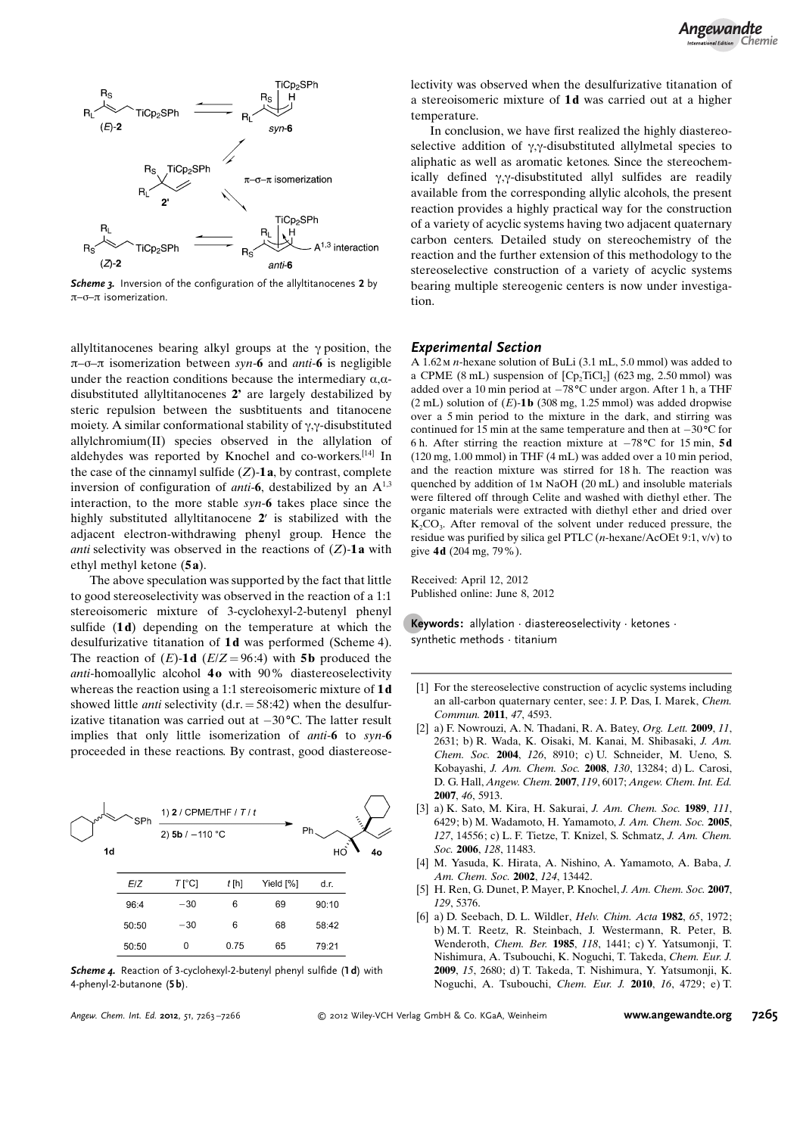

Scheme 3. Inversion of the configuration of the allyltitanocenes 2 by  $\pi$ – $\sigma$ – $\pi$  isomerization.

allyltitanocenes bearing alkyl groups at the  $\gamma$  position, the  $\pi$ – $\sigma$ – $\pi$  isomerization between syn-6 and *anti*–6 is negligible under the reaction conditions because the intermediary  $\alpha$ , $\alpha$ disubstituted allyltitanocenes 2' are largely destabilized by steric repulsion between the susbtituents and titanocene moiety. A similar conformational stability of  $\gamma$ , $\gamma$ -disubstituted allylchromium(II) species observed in the allylation of aldehydes was reported by Knochel and co-workers.[14] In the case of the cinnamyl sulfide  $(Z)$ -1a, by contrast, complete inversion of configuration of *anti*-6, destabilized by an  $A^{1,3}$ interaction, to the more stable syn-6 takes place since the highly substituted allyltitanocene 2' is stabilized with the adjacent electron-withdrawing phenyl group. Hence the *anti* selectivity was observed in the reactions of  $(Z)$ -1a with ethyl methyl ketone (5 a).

The above speculation was supported by the fact that little to good stereoselectivity was observed in the reaction of a 1:1 stereoisomeric mixture of 3-cyclohexyl-2-butenyl phenyl sulfide  $(1d)$  depending on the temperature at which the desulfurizative titanation of 1d was performed (Scheme 4). The reaction of  $(E)$ -1d  $(E/Z = 96:4)$  with 5b produced the anti-homoallylic alcohol  $40$  with  $90\%$  diastereoselectivity whereas the reaction using a 1:1 stereoisomeric mixture of 1d showed little *anti* selectivity  $(d.r. = 58:42)$  when the desulfurizative titanation was carried out at  $-30^{\circ}$ C. The latter result implies that only little isomerization of *anti*-6 to syn-6 proceeded in these reactions. By contrast, good diastereose-



Scheme 4. Reaction of 3-cyclohexyl-2-butenyl phenyl sulfide (1d) with 4-phenyl-2-butanone (5 b).

Angew. Chem. Int. Ed. 2012, 51, 7263-7266

lectivity was observed when the desulfurizative titanation of a stereoisomeric mixture of 1d was carried out at a higher temperature.

In conclusion, we have first realized the highly diastereoselective addition of  $\gamma$ , $\gamma$ -disubstituted allylmetal species to aliphatic as well as aromatic ketones. Since the stereochemically defined  $\gamma$ , $\gamma$ -disubstituted allyl sulfides are readily available from the corresponding allylic alcohols, the present reaction provides a highly practical way for the construction of a variety of acyclic systems having two adjacent quaternary carbon centers. Detailed study on stereochemistry of the reaction and the further extension of this methodology to the stereoselective construction of a variety of acyclic systems bearing multiple stereogenic centers is now under investigation.

## Experimental Section

A 1.62m n-hexane solution of BuLi (3.1 mL, 5.0 mmol) was added to a CPME (8 mL) suspension of  $[Cp_2Ticl_2]$  (623 mg, 2.50 mmol) was added over a 10 min period at  $-78^{\circ}$ C under argon. After 1 h, a THF  $(2 \text{ mL})$  solution of  $(E)$ -1b  $(308 \text{ mg}, 1.25 \text{ mmol})$  was added dropwise over a 5 min period to the mixture in the dark, and stirring was continued for 15 min at the same temperature and then at  $-30^{\circ}$ C for 6 h. After stirring the reaction mixture at  $-78^{\circ}$ C for 15 min, 5d (120 mg, 1.00 mmol) in THF (4 mL) was added over a 10 min period, and the reaction mixture was stirred for 18 h. The reaction was quenched by addition of 1m NaOH (20 mL) and insoluble materials were filtered off through Celite and washed with diethyl ether. The organic materials were extracted with diethyl ether and dried over  $K_2CO_3$ . After removal of the solvent under reduced pressure, the residue was purified by silica gel PTLC (n-hexane/AcOEt 9:1, v/v) to give 4d (204 mg, 79%).

Received: April 12, 2012 Published online: June 8, 2012

Keywords: allylation  $\cdot$  diastereoselectivity  $\cdot$  ketones  $\cdot$ synthetic methods · titanium

- [1] For the stereoselective construction of acyclic systems including an all-carbon quaternary center, see: J. P. Das, I. Marek, [Chem.](http://dx.doi.org/10.1039/c0cc05222a) [Commun.](http://dx.doi.org/10.1039/c0cc05222a) 2011, 47, 4593.
- [2] a) F. Nowrouzi, A. N. Thadani, R. A. Batey, [Org. Lett.](http://dx.doi.org/10.1021/ol900599q) 2009, 11, [2631](http://dx.doi.org/10.1021/ol900599q); b) R. Wada, K. Oisaki, M. Kanai, M. Shibasaki, [J. Am.](http://dx.doi.org/10.1021/ja047200l) [Chem. Soc.](http://dx.doi.org/10.1021/ja047200l) 2004, 126, 8910; c) U. Schneider, M. Ueno, S. Kobayashi, J. Am. Chem. Soc. 2008, 130, 13284; d) L. Carosi, D. G. Hall, [Angew. Chem.](http://dx.doi.org/10.1002/ange.200700975) 2007, 119, 6017; [Angew. Chem. Int. Ed.](http://dx.doi.org/10.1002/anie.200700975) 2007, 46[, 5913.](http://dx.doi.org/10.1002/anie.200700975)
- [3] a) K. Sato, M. Kira, H. Sakurai, [J. Am. Chem. Soc.](http://dx.doi.org/10.1021/ja00198a069) 1989, 111, [6429](http://dx.doi.org/10.1021/ja00198a069); b) M. Wadamoto, H. Yamamoto, [J. Am. Chem. Soc.](http://dx.doi.org/10.1021/ja0553351) 2005, 127[, 14556](http://dx.doi.org/10.1021/ja0553351); c) L. F. Tietze, T. Knizel, S. Schmatz, [J. Am. Chem.](http://dx.doi.org/10.1021/ja062528v) Soc. 2006, 128[, 11483](http://dx.doi.org/10.1021/ja062528v).
- [4] M. Yasuda, K. Hirata, A. Nishino, A. Yamamoto, A. Baba, [J.](http://dx.doi.org/10.1021/ja0274047) [Am. Chem. Soc.](http://dx.doi.org/10.1021/ja0274047) 2002, 124, 13442.
- [5] H. Ren, G. Dunet, P. Mayer, P. Knochel, [J. Am. Chem. Soc.](http://dx.doi.org/10.1021/ja071380s) 2007, 129[, 5376](http://dx.doi.org/10.1021/ja071380s).
- [6] a) D. Seebach, D. L. Wildler, [Helv. Chim. Acta](http://dx.doi.org/10.1002/hlca.19820650704) 1982, 65, 1972; b) M. T. Reetz, R. Steinbach, J. Westermann, R. Peter, B. Wenderoth, [Chem. Ber.](http://dx.doi.org/10.1002/cber.19851180413) 1985, 118, 1441; c) Y. Yatsumonji, T. Nishimura, A. Tsubouchi, K. Noguchi, T. Takeda, [Chem. Eur. J.](http://dx.doi.org/10.1002/chem.200802340) 2009, 15[, 2680](http://dx.doi.org/10.1002/chem.200802340); d) T. Takeda, T. Nishimura, Y. Yatsumonji, K. Noguchi, A. Tsubouchi, [Chem. Eur. J.](http://dx.doi.org/10.1002/chem.201000101) 2010, 16, 4729; e) T.